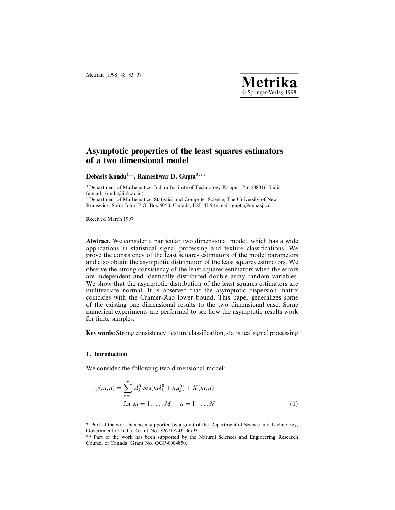# Asymptotic properties of the least squares estimators of a two dimensional model

Debasis Kundu<sup>1,\*</sup>, Rameshwar D. Gupta<sup>2,\*\*</sup>

1Department of Mathematics, Indian Institute of Technology Kanpur, Pin 208016, India (e-mail: kundu@iitk.ac.in)

2Department of Mathematics, Statistics and Computer Science, The University of New Brunswick, Saint John, P.O. Box 5050, Canada, E2L 4L5 (e-mail: gupta@unbasj.ca)

Received March 1997

Abstract. We consider a particular two dimensional model, which has a wide applications in statistical signal processing and texture classifications. We prove the consistency of the least squares estimators of the model parameters and also obtain the asymptotic distribution of the least squares estimators. We observe the strong consistency of the least squares estimators when the errors are independent and identically distributed double array random variables. We show that the asymptotic distribution of the least squares estimators are multivariate normal. It is observed that the asymptotic dispersion matrix coincides with the Cramer-Rao lower bound. This paper generalizes some of the existing one dimensional results to the two dimensional case. Some numerical experiments are performed to see how the asymptotic results work for finite samples.

Key words: Strong consistency, texture classification, statistical signal processing

### 1. Introduction

We consider the following two dimensional model:

$$
y(m,n) = \sum_{k=1}^{p} A_k^0 \cos(m\lambda_k^0 + n\mu_k^0) + X(m,n);
$$
  
for  $m = 1,..., M, n = 1,..., N$  (1)

<sup>\*</sup> Part of the work has been supported by a grant of the Department of Science and Technology, Government of India, Grant No.  $SR/OY/M-06/93$ .

<sup>\*\*</sup> Part of the work has been supported by the Natural Sciences and Engineering Research Council of Canada, Grant No. OGP-0004850.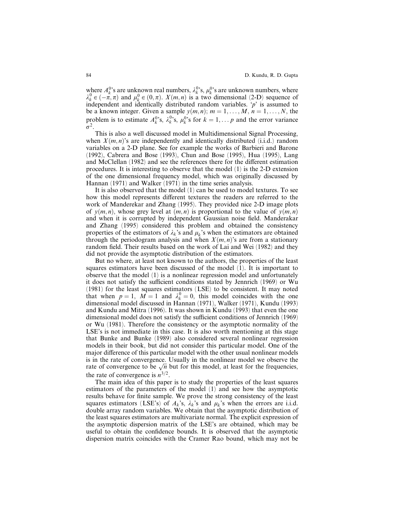where  $A_k^{0,s}$  are unknown real numbers,  $\lambda_k^{0,s}$ ,  $\mu_k^{0,s}$  are unknown numbers, where  $\lambda_k^0 \in (-\hat{\pi}, \pi)$  and  $\mu_k^0 \in (0, \pi)$ .  $X(m, n)$  is a two dimensional (2-D) sequence of independent and identically distributed random variables.  $\dot{p}$  is assumed to be a known integer. Given a sample  $y(m, n); m = 1, \ldots, M, n = 1, \ldots, N$ , the problem is to estimate  $A_k^{0,s}$ ,  $\lambda_k^{0,s}$ ,  $\mu_k^{0,s}$  for  $k = 1, \ldots p$  and the error variance  $\sigma^2$ .

This is also a well discussed model in Multidimensional Signal Processing, when  $X(m, n)$ 's are independently and identically distributed (i.i.d.) random variables on a 2-D plane. See for example the works of Barbieri and Barone (1992), Cabrera and Bose (1993), Chun and Bose (1995), Hua (1995), Lang and McClellan (1982) and see the references there for the different estimation procedures. It is interesting to observe that the model (1) is the 2-D extension of the one dimensional frequency model, which was originally discussed by Hannan (1971) and Walker (1971) in the time series analysis.

It is also observed that the model (1) can be used to model textures. To see how this model represents different textures the readers are referred to the work of Manderekar and Zhang (1995). They provided nice 2-D image plots of  $v(m, n)$ , whose grey level at  $(m, n)$  is proportional to the value of  $v(m, n)$ and when it is corrupted by independent Gaussian noise field. Manderakar and Zhang (1995) considered this problem and obtained the consistency properties of the estimators of  $\lambda_k$ 's and  $\mu_k$ 's when the estimators are obtained through the periodogram analysis and when  $X(m, n)$ 's are from a stationary random field. Their results based on the work of Lai and Wei (1982) and they did not provide the asymptotic distribution of the estimators.

But no where, at least not known to the authors, the properties of the least squares estimators have been discussed of the model (1). It is important to observe that the model (1) is a nonlinear regression model and unfortunately it does not satisfy the sufficient conditions stated by Jennrich (1969) or Wu (1981) for the least squares estimators (LSE) to be consistent. It may noted that when  $p = 1$ ,  $M = 1$  and  $\lambda_k^0 = 0$ , this model coincides with the one dimensional model discussed in Hannan (1971), Walker (1971), Kundu (1993) and Kundu and Mitra (1996). It was shown in Kundu (1993) that even the one dimensional model does not satisfy the sufficient conditions of Jennrich (1969) or Wu (1981). Therefore the consistency or the asymptotic normality of the LSE's is not immediate in this case. It is also worth mentioning at this stage that Bunke and Bunke (1989) also considered several nonlinear regression models in their book, but did not consider this particular model. One of the major difference of this particular model with the other usual nonlinear models is in the rate of convergence. Usually in the nonlinear model we observe the is in the rate of convergence. Usually in the hominear model we observe the rate of convergence to be  $\sqrt{n}$  but for this model, at least for the frequencies, the rate of convergence is  $n^{3/2}$ .

The main idea of this paper is to study the properties of the least squares estimators of the parameters of the model (1) and see how the asymptotic results behave for finite sample. We prove the strong consistency of the least squares estimators (LSE's) of  $A_k$ 's,  $\lambda_k$ 's and  $\mu_k$ 's when the errors are i.i.d. double array random variables. We obtain that the asymptotic distribution of the least squares estimators are multivariate normal. The explicit expression of the asymptotic dispersion matrix of the LSE's are obtained, which may be useful to obtain the confidence bounds. It is observed that the asymptotic dispersion matrix coincides with the Cramer Rao bound, which may not be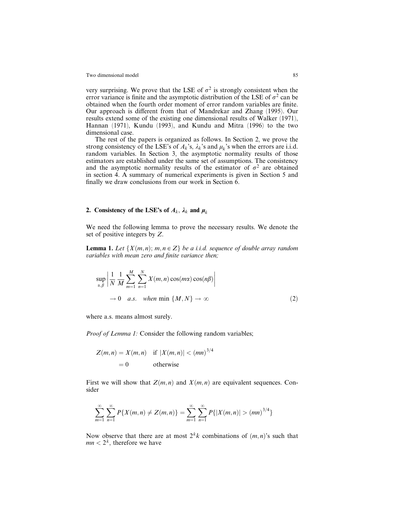very surprising. We prove that the LSE of  $\sigma^2$  is strongly consistent when the error variance is finite and the asymptotic distribution of the LSE of  $\sigma^2$  can be obtained when the fourth order moment of error random variables are finite. Our approach is different from that of Mandrekar and Zhang (1995). Our results extend some of the existing one dimensional results of Walker (1971), Hannan (1971), Kundu (1993), and Kundu and Mitra (1996) to the two dimensional case.

The rest of the papers is organized as follows. In Section 2, we prove the strong consistency of the LSE's of  $A_k$ 's,  $\lambda_k$ 's and  $\mu_k$ 's when the errors are i.i.d. random variables. In Section 3, the asymptotic normality results of those estimators are established under the same set of assumptions. The consistency and the asymptotic normality results of the estimator of  $\sigma^2$  are obtained in section 4. A summary of numerical experiments is given in Section 5 and finally we draw conclusions from our work in Section 6.

### 2. Consistency of the LSE's of  $A_k$ ,  $\lambda_k$  and  $\mu_k$

We need the following lemma to prove the necessary results. We denote the set of positive integers by Z.

**Lemma 1.** Let  $\{X(m,n); m, n \in \mathbb{Z}\}\$  be a i.i.d. sequence of double array random variables with mean zero and finite variance then;

$$
\sup_{\alpha,\beta} \left| \frac{1}{N} \frac{1}{M} \sum_{m=1}^{M} \sum_{n=1}^{N} X(m,n) \cos(m\alpha) \cos(n\beta) \right|
$$
  
\n
$$
\to 0 \quad a.s. \quad when \min \{M, N\} \to \infty
$$
 (2)

where a.s. means almost surely.

Proof of Lemma 1: Consider the following random variables;

$$
Z(m, n) = X(m, n) \quad \text{if } |X(m, n)| < (mn)^{3/4}
$$

$$
= 0 \qquad \text{otherwise}
$$

First we will show that  $Z(m, n)$  and  $X(m, n)$  are equivalent sequences. Consider

$$
\sum_{m=1}^{\infty} \sum_{n=1}^{\infty} P\{X(m,n) \neq Z(m,n)\} = \sum_{m=1}^{\infty} \sum_{n=1}^{\infty} P\{|X(m,n)| > (mn)^{3/4}\}
$$

Now observe that there are at most  $2^k k$  combinations of  $(m, n)$ 's such that  $mn < 2<sup>k</sup>$ , therefore we have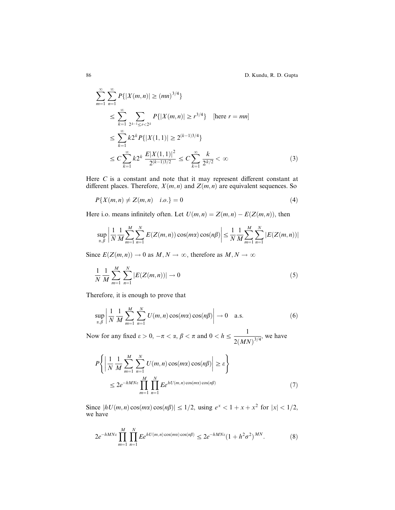$$
\sum_{m=1}^{\infty} \sum_{n=1}^{\infty} P\{|X(m,n)| \ge (mn)^{3/4}\}\
$$
\n
$$
\le \sum_{k=1}^{\infty} \sum_{2^{k-1} \le r < 2^k} P\{|X(m,n)| \ge r^{3/4}\} \quad \text{[here } r = mn\}\
$$
\n
$$
\le \sum_{k=1}^{\infty} k 2^k P\{|X(1,1)| \ge 2^{(k-1)3/4}\}\
$$
\n
$$
\le C \sum_{k=1}^{\infty} k 2^k \frac{E|X(1,1)|^2}{2^{(k-1)3/2}} \le C \sum_{k=1}^{\infty} \frac{k}{2^{k/2}} < \infty \tag{3}
$$

Here  $C$  is a constant and note that it may represent different constant at different places. Therefore,  $X(m, n)$  and  $Z(m, n)$  are equivalent sequences. So

$$
P\{X(m,n) \neq Z(m,n) \quad i.o.\} = 0 \tag{4}
$$

Here i.o. means infinitely often. Let  $U(m, n) = Z(m, n) - E(Z(m, n))$ , then

$$
\sup_{\alpha,\beta} \left| \frac{1}{N} \frac{1}{M} \sum_{m=1}^{M} \sum_{n=1}^{N} E(Z(m,n)) \cos(m\alpha) \cos(n\beta) \right| \leq \frac{1}{N} \frac{1}{M} \sum_{m=1}^{M} \sum_{n=1}^{N} |E(Z(m,n))|
$$

Since  $E(Z(m, n)) \to 0$  as  $M, N \to \infty$ , therefore as  $M, N \to \infty$ 

$$
\frac{1}{N} \frac{1}{M} \sum_{m=1}^{M} \sum_{n=1}^{N} |E(Z(m, n))| \to 0
$$
\n(5)

Therefore, it is enough to prove that

$$
\sup_{\alpha,\beta} \left| \frac{1}{N} \frac{1}{M} \sum_{m=1}^{M} \sum_{n=1}^{N} U(m,n) \cos(m\alpha) \cos(n\beta) \right| \to 0 \quad \text{a.s.}
$$
 (6)

Now for any fixed  $\varepsilon > 0$ ,  $-\pi < \alpha$ ,  $\beta < \pi$  and  $0 < h \leq \frac{1}{\pi}$  $\frac{1}{2(MN)^{3/4}}$ , we have

$$
P\left\{ \left| \frac{1}{N} \frac{1}{M} \sum_{m=1}^{M} \sum_{n=1}^{N} U(m, n) \cos(m\alpha) \cos(n\beta) \right| \ge \varepsilon \right\}
$$
  

$$
\le 2e^{-hMN\varepsilon} \prod_{m=1}^{M} \prod_{n=1}^{N} E e^{hU(m, n) \cos(m\alpha) \cos(n\beta)}
$$
(7)

Since  $|hU(m, n) \cos(m\alpha) \cos(n\beta)| \leq 1/2$ , using  $e^x < 1 + x + x^2$  for  $|x| < 1/2$ , we have

$$
2e^{-hMN\varepsilon} \prod_{m=1}^{M} \prod_{n=1}^{N} E e^{hU(m,n)\cos(m\alpha)\cos(n\beta)} \leq 2e^{-hMN\varepsilon} (1 + h^2 \sigma^2)^{MN}.
$$
 (8)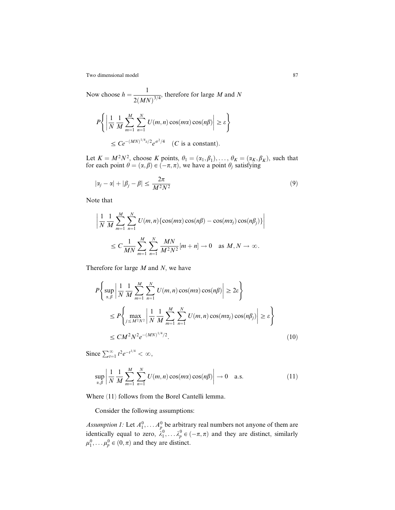Now choose  $h = \frac{1}{\sqrt{1 - \frac{1}{\sqrt{1 - \frac{1}{\sqrt{1 - \frac{1}{\sqrt{1 - \frac{1}{\sqrt{1 - \frac{1}{\sqrt{1 - \frac{1}{\sqrt{1 - \frac{1}{\sqrt{1 - \frac{1}{\sqrt{1 - \frac{1}{\sqrt{1 - \frac{1}{\sqrt{1 - \frac{1}{\sqrt{1 - \frac{1}{\sqrt{1 - \frac{1}{\sqrt{1 - \frac{1}{\sqrt{1 - \frac{1}{\sqrt{1 - \frac{1}{\sqrt{1 - \frac{1}{\sqrt{1 - \frac{1}{\sqrt{1 - \frac{1}{\sqrt{1 - \frac{1}{\sqrt$  $\frac{1}{2(MN)^{3/4}}$ , therefore for large M and N

$$
P\left\{ \left| \frac{1}{N} \frac{1}{M} \sum_{m=1}^{M} \sum_{n=1}^{N} U(m, n) \cos(m\alpha) \cos(n\beta) \right| \ge \varepsilon \right\}
$$
  

$$
\le C e^{-(MN)^{1/4} \varepsilon/2} e^{\sigma^2/4} \quad (C \text{ is a constant}).
$$

Let  $K = M^2N^2$ , choose K points,  $\theta_1 = (\alpha_1, \beta_1), \ldots, \theta_K = (\alpha_K, \beta_K)$ , such that for each point  $\theta = (\alpha, \beta) \in (-\pi, \pi)$ , we have a point  $\theta_j$  satisfying

$$
|\alpha_j - \alpha| + |\beta_j - \beta| \le \frac{2\pi}{M^2 N^2} \tag{9}
$$

Note that

$$
\left| \frac{1}{N} \frac{1}{M} \sum_{m=1}^{M} \sum_{n=1}^{N} U(m, n) \{ \cos(m\alpha) \cos(n\beta) - \cos(m\alpha_j) \cos(n\beta_j) \} \right|
$$
  

$$
\leq C \frac{1}{MN} \sum_{m=1}^{M} \sum_{n=1}^{N} \frac{MN}{M^2 N^2} [m+n] \to 0 \text{ as } M, N \to \infty.
$$

Therefore for large  $M$  and  $N$ , we have

$$
P\left\{\sup_{\alpha,\beta} \left|\frac{1}{N} \frac{1}{M} \sum_{m=1}^{M} \sum_{n=1}^{N} U(m,n) \cos(m\alpha) \cos(n\beta)\right| \ge 2\varepsilon\right\}
$$
  

$$
\le P\left\{\max_{j\le M^2N^2} \left|\frac{1}{N} \frac{1}{M} \sum_{m=1}^{M} \sum_{n=1}^{N} U(m,n) \cos(m\alpha_j) \cos(n\beta_j)\right| \ge \varepsilon\right\}
$$
  

$$
\le CM^2N^2e^{-(MN)^{1/4}/2}.
$$
 (10)

Since  $\sum_{t=1}^{\infty} t^2 e^{-t^{1/4}} < \infty$ ,

$$
\sup_{\alpha,\beta} \left| \frac{1}{N} \frac{1}{M} \sum_{m=1}^{M} \sum_{n=1}^{N} U(m,n) \cos(m\alpha) \cos(n\beta) \right| \to 0 \quad \text{a.s.}
$$
 (11)

Where (11) follows from the Borel Cantelli lemma.

Consider the following assumptions:

Assumption 1: Let  $A_1^0, \ldots, A_p^0$  be arbitrary real numbers not anyone of them are identically equal to zero,  $\lambda_1^0, \ldots, \lambda_p^0 \in (-\pi, \pi)$  and they are distinct, similarly  $\mu_1^0, \ldots, \mu_p^0 \in (0, \pi)$  and they are distinct.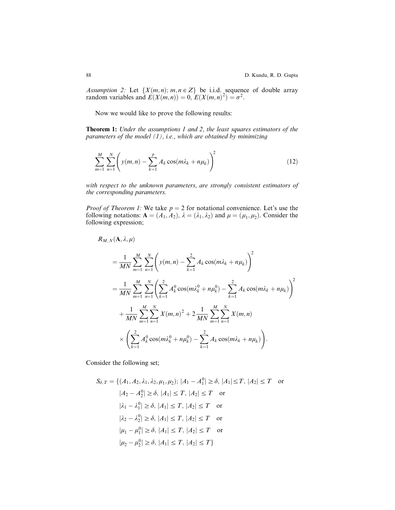Assumption 2: Let  $\{X(m,n); m, n \in \mathbb{Z}\}\)$  be i.i.d. sequence of double array random variables and  $E(X(m, n)) = 0$ ,  $E(X(m, n)^2) = \sigma^2$ .

Now we would like to prove the following results:

**Theorem 1:** Under the assumptions 1 and 2, the least squares estimators of the parameters of the model  $(1)$ , i.e., which are obtained by minimizing

$$
\sum_{m=1}^{M} \sum_{n=1}^{N} \left( y(m,n) - \sum_{k=1}^{p} A_k \cos(m\lambda_k + n\mu_k) \right)^2
$$
 (12)

with respect to the unknown parameters, are strongly consistent estimators of the corresponding parameters.

*Proof of Theorem 1:* We take  $p = 2$  for notational convenience. Let's use the following notations:  $A = (A_1, A_2), \lambda = (\lambda_1, \lambda_2)$  and  $\mu = (\mu_1, \mu_2)$ . Consider the following expression;

$$
R_{M,N}(\mathbf{A}, \lambda, \mu)
$$
  
=  $\frac{1}{MN} \sum_{m=1}^{M} \sum_{n=1}^{N} \left( y(m, n) - \sum_{k=1}^{2} A_k \cos(m\lambda_k + n\mu_k) \right)^2$   
=  $\frac{1}{MN} \sum_{m=1}^{M} \sum_{n=1}^{N} \left( \sum_{k=1}^{2} A_k^0 \cos(m\lambda_k^0 + n\mu_k^0) - \sum_{k=1}^{2} A_k \cos(m\lambda_k + n\mu_k) \right)^2$   
+  $\frac{1}{MN} \sum_{m=1}^{M} \sum_{n=1}^{N} X(m, n)^2 + 2 \frac{1}{MN} \sum_{m=1}^{M} \sum_{n=1}^{N} X(m, n)$   
 $\times \left( \sum_{k=1}^{2} A_k^0 \cos(m\lambda_k^0 + n\mu_k^0) - \sum_{k=1}^{2} A_k \cos(m\lambda_k + n\mu_k) \right).$ 

Consider the following set;

$$
S_{\delta,T} = \{ (A_1, A_2, \lambda_1, \lambda_2, \mu_1, \mu_2); |A_1 - A_1^0| \ge \delta, |A_1| \le T, |A_2| \le T \text{ or}
$$
  
\n
$$
|A_2 - A_2^0| \ge \delta, |A_1| \le T, |A_2| \le T \text{ or}
$$
  
\n
$$
|\lambda_1 - \lambda_1^0| \ge \delta, |A_1| \le T, |A_2| \le T \text{ or}
$$
  
\n
$$
|\lambda_2 - \lambda_2^0| \ge \delta, |A_1| \le T, |A_2| \le T \text{ or}
$$
  
\n
$$
|\mu_1 - \mu_1^0| \ge \delta, |A_1| \le T, |A_2| \le T \text{ or}
$$
  
\n
$$
|\mu_2 - \mu_2^0| \ge \delta, |A_1| \le T, |A_2| \le T \}
$$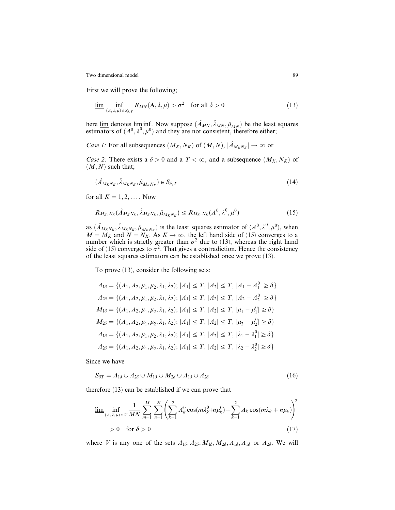First we will prove the following;

$$
\underline{\lim}_{(A,\lambda,\mu)\in S_{\delta,T}} R_{MN}(\mathbf{A},\lambda,\mu) > \sigma^2 \quad \text{for all } \delta > 0
$$
 (13)

here  $\underline{\lim}$  denotes  $\liminf_{n \to \infty}$ . Now suppose  $(\hat{A}_{MN}, \hat{\lambda}_{MN}, \hat{\mu}_{MN})$  be the least squares estimators of  $(A^0, \lambda^0, \mu^0)$  and they are not consistent, therefore either;

*Case 1:* For all subsequences  $(M_K, N_K)$  of  $(M, N), |\hat{A}_{M_KN_K}| \to \infty$  or

*Case 2:* There exists a  $\delta > 0$  and a  $T < \infty$ , and a subsequence  $(M_K, N_K)$  of  $(M, N)$  such that;

$$
(\hat{A}_{M_K N_K}, \hat{\lambda}_{M_K N_K}, \hat{\mu}_{M_K N_K}) \in S_{\delta, T}
$$
\n(14)

for all  $K = 1, 2, \ldots$ . Now

$$
R_{M_K, N_K}(\hat{A}_{M_K N_K}, \hat{\lambda}_{M_K N_K}, \hat{\mu}_{M_K N_K}) \le R_{M_K, N_K}(A^0, \lambda^0, \mu^0)
$$
\n(15)

as  $(\hat{A}_{M_KN_K}, \hat{\lambda}_{M_KN_K}, \hat{\mu}_{M_KN_K})$  is the least squares estimator of  $(A^0, \lambda^0, \mu^0)$ , when  $M = M_K$  and  $N = N_K$ . As  $K \to \infty$ , the left hand side of (15) converges to a number which is strictly greater than  $\sigma^2$  due to (13), whereas the right hand side of (15) converges to  $\sigma^2$ . That gives a contradiction. Hence the consistency of the least squares estimators can be established once we prove (13).

To prove (13), consider the following sets:

$$
A_{1\delta} = \{ (A_1, A_2, \mu_1, \mu_2, \lambda_1, \lambda_2); |A_1| \le T, |A_2| \le T, |A_1 - A_1^0| \ge \delta \}
$$
  
\n
$$
A_{2\delta} = \{ (A_1, A_2, \mu_1, \mu_2, \lambda_1, \lambda_2); |A_1| \le T, |A_2| \le T, |A_2 - A_2^0| \ge \delta \}
$$
  
\n
$$
M_{1\delta} = \{ (A_1, A_2, \mu_1, \mu_2, \lambda_1, \lambda_2); |A_1| \le T, |A_2| \le T, |\mu_1 - \mu_1^0| \ge \delta \}
$$
  
\n
$$
M_{2\delta} = \{ (A_1, A_2, \mu_1, \mu_2, \lambda_1, \lambda_2); |A_1| \le T, |A_2| \le T, |\mu_2 - \mu_2^0| \ge \delta \}
$$
  
\n
$$
A_{1\delta} = \{ (A_1, A_2, \mu_1, \mu_2, \lambda_1, \lambda_2); |A_1| \le T, |A_2| \le T, |\lambda_1 - \lambda_1^0| \ge \delta \}
$$
  
\n
$$
A_{2\delta} = \{ (A_1, A_2, \mu_1, \mu_2, \lambda_1, \lambda_2); |A_1| \le T, |A_2| \le T, |\lambda_2 - \lambda_2^0| \ge \delta \}
$$

Since we have

$$
S_{\delta T} = A_{1\delta} \cup A_{2\delta} \cup M_{1\delta} \cup M_{2\delta} \cup A_{1\delta} \cup A_{2\delta} \tag{16}
$$

therefore (13) can be established if we can prove that

$$
\underline{\lim}_{(A,\lambda,\mu)\in V} \inf_{MN} \frac{1}{MN} \sum_{m=1}^{M} \sum_{n=1}^{N} \left( \sum_{k=1}^{2} A_k^0 \cos(m\lambda_k^0 + n\mu_k^0) - \sum_{k=1}^{2} A_k \cos(m\lambda_k + n\mu_k) \right)^2
$$
  
> 0 for  $\delta > 0$  (17)

where V is any one of the sets  $A_{1\delta}$ ,  $A_{2\delta}$ ,  $M_{1\delta}$ ,  $M_{2\delta}$ ,  $A_{1\delta}$  or  $A_{2\delta}$ . We will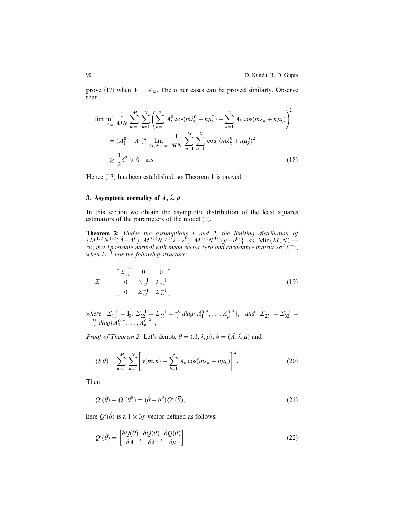prove (17) when  $V = A_{1\delta}$ . The other cases can be proved similarly. Observe that

$$
\underline{\lim_{A_{1\delta}}} \inf_{\overline{MN}} \frac{1}{MN} \sum_{m=1}^{M} \sum_{n=1}^{N} \left( \sum_{k=1}^{2} A_k^0 \cos(m\lambda_k^0 + n\mu_k^0) - \sum_{k=1}^{2} A_k \cos(m\lambda_k + n\mu_k) \right)^2
$$
  
=  $(A_1^0 - A_1)^2 \lim_{M, N \to \infty} \frac{1}{MN} \sum_{m=1}^{M} \sum_{n=1}^{N} \cos^2(m\lambda_k^0 + n\mu_k^0)^2$   
 $\ge \frac{1}{2} \delta^2 > 0$  a.s. (18)

Hence (13) has been established, so Theorem 1 is proved.

### 3. Asymptotic normality of  $\hat{A}$ ,  $\hat{\lambda}$ ,  $\hat{\mu}$

In this section we obtain the asymptotic distribution of the least squares estimators of the parameters of the model (1).

**Theorem 2:** Under the assumptions 1 and 2, the limiting distribution of  $\{M^{1/2}N^{1/2}(\hat{A}-A^{0}), M^{3/2}N^{1/2}(\hat{\lambda}-\lambda^{0}), M^{1/2}N^{3/2}(\hat{\mu}-\mu^{0})\}\text{ as } \text{Min}(M,N) \rightarrow$  $\infty$ , is a 3p variate normal with mean vector zero and covariance matrix  $2\sigma^2\Sigma^{-1}$ , when  $\Sigma^{-1}$  has the following structure:

$$
\Sigma^{-1} = \begin{bmatrix} \Sigma_{11}^{-1} & 0 & 0\\ 0 & \Sigma_{22}^{-1} & \Sigma_{23}^{-1} \\ 0 & \Sigma_{32}^{-1} & \Sigma_{33}^{-1} \end{bmatrix}
$$
 (19)

where  $\Sigma_{11}^{-1} = I_p$ ,  $\Sigma_{22}^{-1} = \Sigma_{33}^{-1} = \frac{48}{7}$  diag $\{A_1^{0^{-2}}, \dots, A_p^{0^{-2}}\}$ , and  $\Sigma_{23}^{-1} = \Sigma_{32}^{-1} =$  $-\frac{36}{7} \, diag\{A_1^{0^{-2}}, \ldots, A_p^{0^{-2}}\},\,$ 

*Proof of Theorem 2:* Let's denote  $\theta = (A, \lambda, \mu), \hat{\theta} = (\hat{A}, \hat{\lambda}, \hat{\mu})$  and

$$
Q(\theta) = \sum_{m=1}^{M} \sum_{n=1}^{N} \left[ y(m,n) - \sum_{k=1}^{p} A_k \cos(m\lambda_k + n\mu_k) \right]^2.
$$
 (20)

Then

$$
Q'(\hat{\theta}) - Q'(\theta^0) = (\hat{\theta} - \theta^0)Q''(\bar{\theta}),
$$
\n(21)

here  $Q'(\hat{\theta})$  is a  $1 \times 3p$  vector defined as follows:

$$
Q'(\hat{\theta}) = \left[\frac{\delta Q(\theta)}{\delta A}, \frac{\delta Q(\theta)}{\delta \lambda}, \frac{\delta Q(\theta)}{\delta \mu}\right]
$$
\n(22)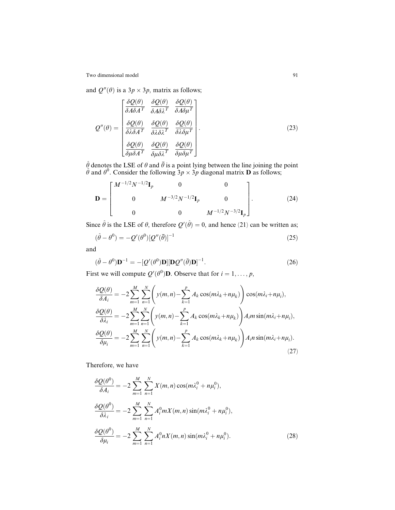and  $Q''(\theta)$  is a  $3p \times 3p$ , matrix as follows;

$$
Q''(\theta) = \begin{bmatrix} \frac{\delta Q(\theta)}{\delta A \delta A^T} & \frac{\delta Q(\theta)}{\delta A \delta \lambda^T} & \frac{\delta Q(\theta)}{\delta A \delta \mu^T} \\ \frac{\delta Q(\theta)}{\delta \lambda \delta A^T} & \frac{\delta Q(\theta)}{\delta \lambda \delta \lambda^T} & \frac{\delta Q(\theta)}{\delta \lambda \delta \mu^T} \\ \frac{\delta Q(\theta)}{\delta \mu \delta A^T} & \frac{\delta Q(\theta)}{\delta \mu \delta \lambda^T} & \frac{\delta Q(\theta)}{\delta \mu \delta \mu^T} \end{bmatrix}.
$$
 (23)

 $\hat{\theta}$  denotes the LSE of  $\theta$  and  $\bar{\theta}$  is a point lying between the line joining the point  $\hat{\theta}$  and  $\theta^0$ . Consider the following  $3p \times 3p$  diagonal matrix **D** as follows;

$$
\mathbf{D} = \begin{bmatrix} M^{-1/2}N^{-1/2}\mathbf{I}_p & 0 & 0 \\ 0 & M^{-3/2}N^{-1/2}\mathbf{I}_p & 0 \\ 0 & 0 & M^{-1/2}N^{-3/2}\mathbf{I}_p \end{bmatrix} .
$$
 (24)

Since  $\hat{\theta}$  is the LSE of  $\theta$ , therefore  $Q'(\hat{\theta}) = 0$ , and hence (21) can be written as;

$$
(\hat{\theta} - \theta^0) = -Q'(\theta^0)[Q''(\bar{\theta})]^{-1}
$$
\n(25)

and

$$
(\hat{\theta} - \theta^0)\mathbf{D}^{-1} = -[\mathcal{Q}'(\theta^0)\mathbf{D}][\mathbf{D}\mathcal{Q}''(\bar{\theta})\mathbf{D}]^{-1}.
$$
\n(26)

First we will compute  $Q'(\theta^0)$ **D**. Observe that for  $i = 1, \dots, p$ ,

$$
\frac{\delta Q(\theta)}{\delta A_i} = -2 \sum_{m=1}^{M} \sum_{n=1}^{N} \left( y(m,n) - \sum_{k=1}^{p} A_k \cos(m\lambda_k + n\mu_k) \right) \cos(m\lambda_i + n\mu_i),
$$
  

$$
\frac{\delta Q(\theta)}{\delta \lambda_i} = -2 \sum_{m=1}^{M} \sum_{n=1}^{N} \left( y(m,n) - \sum_{k=1}^{p} A_k \cos(m\lambda_k + n\mu_k) \right) A_i m \sin(m\lambda_i + n\mu_i),
$$
  

$$
\frac{\delta Q(\theta)}{\delta \mu_i} = -2 \sum_{m=1}^{M} \sum_{n=1}^{N} \left( y(m,n) - \sum_{k=1}^{p} A_k \cos(m\lambda_k + n\mu_k) \right) A_i n \sin(m\lambda_i + n\mu_i).
$$
\n(27)

Therefore, we have

$$
\frac{\delta Q(\theta^{0})}{\delta A_{i}} = -2 \sum_{m=1}^{M} \sum_{n=1}^{N} X(m, n) \cos(m\lambda_{i}^{0} + n\mu_{i}^{0}),
$$
  
\n
$$
\frac{\delta Q(\theta^{0})}{\delta \lambda_{i}} = -2 \sum_{m=1}^{M} \sum_{n=1}^{N} A_{i}^{0} m X(m, n) \sin(m\lambda_{i}^{0} + n\mu_{i}^{0}),
$$
  
\n
$$
\frac{\delta Q(\theta^{0})}{\delta \mu_{i}} = -2 \sum_{m=1}^{M} \sum_{n=1}^{N} A_{i}^{0} n X(m, n) \sin(m\lambda_{i}^{0} + n\mu_{i}^{0}).
$$
\n(28)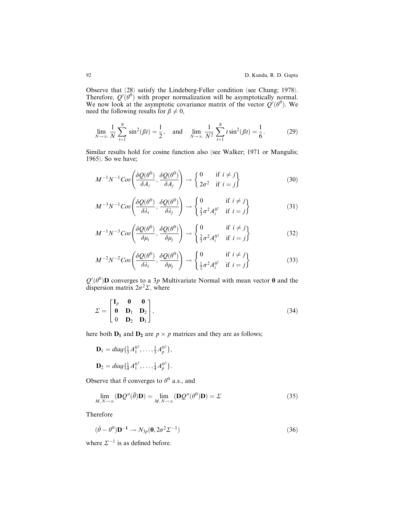Observe that (28) satisfy the Lindeberg-Feller condition (see Chung; 1978). Therefore,  $Q'(\theta^0)$  with proper normalization will be asymptotically normal. We now look at the asymptotic covariance matrix of the vector  $Q'(\theta^0)$ . We need the following results for  $\beta \neq 0$ ,

$$
\lim_{N \to \infty} \frac{1}{N} \sum_{t=1}^{N} \sin^2(\beta t) = \frac{1}{2}, \text{ and } \lim_{N \to \infty} \frac{1}{N^2} \sum_{t=1}^{N} t \sin^2(\beta t) = \frac{1}{6}.
$$
 (29)

Similar results hold for cosine function also (see Walker; 1971 or Mangulis; 1965). So we have;

$$
M^{-1}N^{-1}Cov\left(\frac{\delta Q(\theta^0)}{\delta A_i}, \frac{\delta Q(\theta^0)}{\delta A_j}\right) \to \begin{Bmatrix} 0 & \text{if } i \neq j \\ 2\sigma^2 & \text{if } i = j \end{Bmatrix}
$$
(30)

$$
M^{-3}N^{-1}Cov\left(\frac{\delta Q(\theta^0)}{\delta \lambda_i}, \frac{\delta Q(\theta^0)}{\delta \lambda_j}\right) \to \begin{cases} 0 & \text{if } i \neq j \\ \frac{2}{3}\sigma^2 A_i^{0^2} & \text{if } i = j \end{cases}
$$
 (31)

$$
M^{-1}N^{-3}Cov\left(\frac{\delta Q(\theta^0)}{\delta \mu_i}, \frac{\delta Q(\theta^0)}{\delta \mu_j}\right) \to \begin{cases} 0 & \text{if } i \neq j \\ \frac{2}{3}\sigma^2 A_i^{0^2} & \text{if } i = j \end{cases}
$$
 (32)

$$
M^{-2}N^{-2}Cov\left(\frac{\delta Q(\theta^0)}{\delta \lambda_i}, \frac{\delta Q(\theta^0)}{\delta \mu_j}\right) \to \begin{cases} 0 & \text{if } i \neq j \\ \frac{1}{2}\sigma^2 A_i^{0^2} & \text{if } i = j \end{cases}
$$
 (33)

 $Q'(\theta^0)$ D converges to a 3p Multivariate Normal with mean vector 0 and the dispersion matrix  $2\sigma^2\Sigma$ , where

$$
\Sigma = \begin{bmatrix} \mathbf{I}_p & \mathbf{0} & \mathbf{0} \\ \mathbf{0} & \mathbf{D}_1 & \mathbf{D}_2 \\ 0 & \mathbf{D}_2 & \mathbf{D}_1 \end{bmatrix},
$$
(34)

here both  $D_1$  and  $D_2$  are  $p \times p$  matrices and they are as follows;

$$
\mathbf{D}_1 = diag\{\frac{1}{3}A_1^{0^2}, \dots, \frac{1}{3}A_p^{0^2}\},
$$
  

$$
\mathbf{D}_2 = diag\{\frac{1}{4}A_1^{0^2}, \dots, \frac{1}{4}A_p^{0^2}\}.
$$

Observe that  $\bar{\theta}$  converges to  $\theta^0$  a.s., and

$$
\lim_{M,N\to\infty} (\mathbf{D}\mathcal{Q}''(\bar{\theta})\mathbf{D}) = \lim_{M,N\to\infty} (\mathbf{D}\mathcal{Q}''(\theta^0)\mathbf{D}) = \Sigma
$$
\n(35)

Therefore

$$
(\hat{\theta} - \theta^0) \mathbf{D}^{-1} \to N_{3p}(\mathbf{0}, 2\sigma^2 \Sigma^{-1})
$$
\n(36)

where  $\Sigma^{-1}$  is as defined before.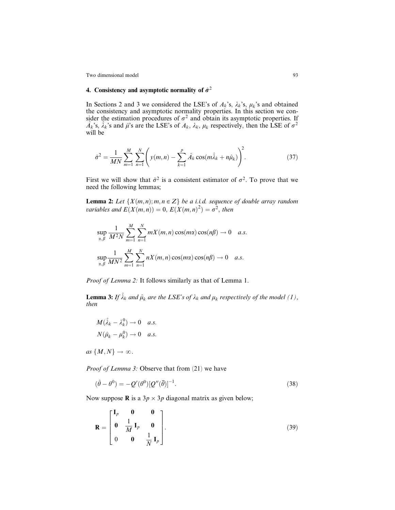## 4. Consistency and asymptotic normality of  $\hat{\sigma}^2$

In Sections 2 and 3 we considered the LSE's of  $A_k$ 's,  $\lambda_k$ 's,  $\mu_k$ 's and obtained the consistency and asymptotic normality properties. In this section we consider the estimation procedures of  $\sigma^2$  and obtain its asymptotic properties. If  $\hat{A}_k$ 's,  $\hat{\lambda}_k$ 's and  $\hat{\mu}$ 's are the LSE's of  $A_k$ ,  $\lambda_k$ ,  $\mu_k$  respectively, then the LSE of  $\sigma^2$ will be

$$
\hat{\sigma}^2 = \frac{1}{MN} \sum_{m=1}^{M} \sum_{n=1}^{N} \left( y(m,n) - \sum_{k=1}^{p} \hat{A}_k \cos(m\hat{\lambda}_k + n\hat{\mu}_k) \right)^2.
$$
 (37)

First we will show that  $\hat{\sigma}^2$  is a consistent estimator of  $\sigma^2$ . To prove that we need the following lemmas;

**Lemma 2:** Let  $\{X(m,n); m, n \in \mathbb{Z}\}\$  be a i.i.d. sequence of double array random variables and  $E(X(m, n)) = 0$ ,  $E(X(m, n)^2) = \sigma^2$ , then

$$
\sup_{\alpha,\beta} \frac{1}{M^2 N} \sum_{m=1}^M \sum_{n=1}^N mX(m,n) \cos(m\alpha) \cos(n\beta) \to 0 \quad a.s.
$$
  

$$
\sup_{\alpha,\beta} \frac{1}{M N^2} \sum_{m=1}^M \sum_{n=1}^N nX(m,n) \cos(m\alpha) \cos(n\beta) \to 0 \quad a.s.
$$

Proof of Lemma 2: It follows similarly as that of Lemma 1.

**Lemma 3:** If  $\hat{\lambda}_k$  and  $\hat{\mu}_k$  are the LSE's of  $\lambda_k$  and  $\mu_k$  respectively of the model (1), then

$$
M(\hat{\lambda}_k - \lambda_k^0) \to 0 \quad a.s.
$$
  

$$
N(\hat{\mu}_k - \mu_k^0) \to 0 \quad a.s.
$$

as  $\{M,N\} \to \infty$ .

Proof of Lemma 3: Observe that from (21) we have

$$
(\hat{\theta} - \theta^0) = -Q'(\theta^0)[Q''(\overline{\theta})]^{-1}.
$$
\n(38)

Now suppose **R** is a  $3p \times 3p$  diagonal matrix as given below;

$$
\mathbf{R} = \begin{bmatrix} \mathbf{I}_p & \mathbf{0} & \mathbf{0} \\ \mathbf{0} & \frac{1}{M} \mathbf{I}_p & \mathbf{0} \\ 0 & \mathbf{0} & \frac{1}{N} \mathbf{I}_p \end{bmatrix} .
$$
 (39)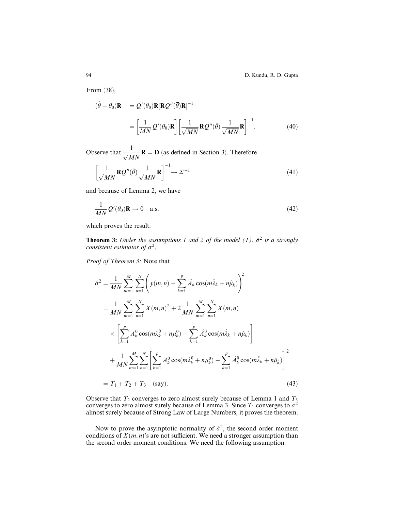From (38),

$$
(\hat{\theta} - \theta_0)\mathbf{R}^{-1} = Q'(\theta_0)\mathbf{R}[\mathbf{R}Q''(\bar{\theta})\mathbf{R}]^{-1}
$$

$$
= \left[\frac{1}{MN}Q'(\theta_0)\mathbf{R}\right] \left[\frac{1}{\sqrt{MN}}\mathbf{R}Q''(\bar{\theta})\frac{1}{\sqrt{MN}}\mathbf{R}\right]^{-1}.
$$
(40)

Observe that  $\frac{1}{\sqrt{MN}}$ **R** = **D** (as defined in Section 3). Therefore

$$
\left[\frac{1}{\sqrt{MN}}\mathbf{R}\mathcal{Q}''(\bar{\theta})\frac{1}{\sqrt{MN}}\mathbf{R}\right]^{-1}\to\mathcal{Z}^{-1}\tag{41}
$$

and because of Lemma 2, we have

$$
\frac{1}{MN}Q'(\theta_0)\mathbf{R} \to 0 \quad \text{a.s.}
$$
\n(42)

which proves the result.

**Theorem 3:** Under the assumptions 1 and 2 of the model (1),  $\hat{\sigma}^2$  is a strongly consistent estimator of  $\sigma^2$ .

Proof of Theorem 3: Note that

$$
\hat{\sigma}^{2} = \frac{1}{MN} \sum_{m=1}^{M} \sum_{n=1}^{N} \left( y(m,n) - \sum_{k=1}^{p} \hat{A}_{k} \cos(m\hat{\lambda}_{k} + n\hat{\mu}_{k}) \right)^{2}
$$
  
\n
$$
= \frac{1}{MN} \sum_{m=1}^{M} \sum_{n=1}^{N} X(m,n)^{2} + 2 \frac{1}{MN} \sum_{m=1}^{M} \sum_{n=1}^{N} X(m,n)
$$
  
\n
$$
\times \left[ \sum_{k=1}^{p} A_{k}^{0} \cos(m\hat{\lambda}_{k}^{0} + n\mu_{k}^{0}) - \sum_{k=1}^{p} \hat{A}_{k}^{0} \cos(m\hat{\lambda}_{k} + n\hat{\mu}_{k}) \right]
$$
  
\n
$$
+ \frac{1}{MN} \sum_{m=1}^{M} \sum_{n=1}^{N} \left[ \sum_{k=1}^{p} A_{k}^{0} \cos(m\hat{\lambda}_{k}^{0} + n\mu_{k}^{0}) - \sum_{k=1}^{p} \hat{A}_{k}^{0} \cos(m\hat{\lambda}_{k} + n\hat{\mu}_{k}) \right]^{2}
$$
  
\n
$$
= T_{1} + T_{2} + T_{3} \quad \text{(say)}.
$$
  
\n(43)

Observe that  $T_2$  converges to zero almost surely because of Lemma 1 and  $T_3$ converges to zero almost surely because of Lemma 3. Since  $T_1$  converges to  $\sigma^2$ almost surely because of Strong Law of Large Numbers, it proves the theorem.

Now to prove the asymptotic normality of  $\hat{\sigma}^2$ , the second order moment conditions of  $X(m, n)$ 's are not sufficient. We need a stronger assumption than the second order moment conditions. We need the following assumption: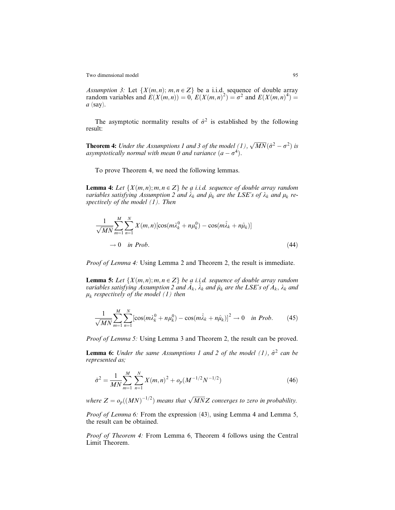Assumption 3: Let  $\{X(m, n); m, n \in \mathbb{Z}\}\)$  be a i.i.d. sequence of double array random variables and  $E(X(m,n)) = 0$ ,  $E(X(m,n)^2) = \sigma^2$  and  $E(X(m,n)^4) =$  $a$  (say).

The asymptotic normality results of  $\hat{\sigma}^2$  is established by the following result:

**Theorem 4:** Under the Assumptions 1 and 3 of the model (1),  $\sqrt{MN}(\hat{\sigma}^2 - \sigma^2)$  is asymptotically normal with mean 0 and variance  $(a - \sigma^4)$ .

To prove Theorem 4, we need the following lemmas.

**Lemma 4:** Let  $\{X(m,n); m, n \in \mathbb{Z}\}\$  be a i.i.d. sequence of double array random variables satisfying Assumption 2 and  $\lambda_k$  and  $\hat{\mu}_k$  are the LSE's of  $\lambda_k$  and  $\mu_k$  respectively of the model (1). Then

$$
\frac{1}{\sqrt{MN}}\sum_{m=1}^{M}\sum_{n=1}^{N}X(m,n)\left[\cos(m\lambda_{k}^{0}+n\mu_{k}^{0})-\cos(m\hat{\lambda}_{k}+n\hat{\mu}_{k})\right]
$$
  

$$
\rightarrow 0 \quad \text{in Prob.}
$$
 (44)

Proof of Lemma 4: Using Lemma 2 and Theorem 2, the result is immediate.

**Lemma 5:** Let  $\{X(m,n); m, n \in \mathbb{Z}\}\$  be a i.i.d. sequence of double array random variables satisfying Assumption 2 and  $\hat{A}_k$ ,  $\hat{\lambda}_k$  and  $\hat{\mu}_k$  are the LSE's of  $\hat{A}_k$ ,  $\lambda_k$  and  $\mu_k$  respectively of the model (1) then

$$
\frac{1}{\sqrt{MN}}\sum_{m=1}^{M}\sum_{n=1}^{N}[\cos(m\lambda_k^0 + n\mu_k^0) - \cos(m\hat{\lambda}_k + n\hat{\mu}_k)]^2 \to 0 \quad \text{in Prob.} \tag{45}
$$

Proof of Lemma 5: Using Lemma 3 and Theorem 2, the result can be proved.

**Lemma 6:** Under the same Assumptions 1 and 2 of the model (1),  $\hat{\sigma}^2$  can be represented as;

$$
\hat{\sigma}^2 = \frac{1}{MN} \sum_{m=1}^{M} \sum_{n=1}^{N} X(m,n)^2 + o_p(M^{-1/2}N^{-1/2})
$$
\n(46)

where  $Z = o_p((MN)^{-1/2})$  means that  $\sqrt{MN}Z$  converges to zero in probability.

Proof of Lemma 6: From the expression (43), using Lemma 4 and Lemma 5, the result can be obtained.

Proof of Theorem 4: From Lemma 6, Theorem 4 follows using the Central Limit Theorem.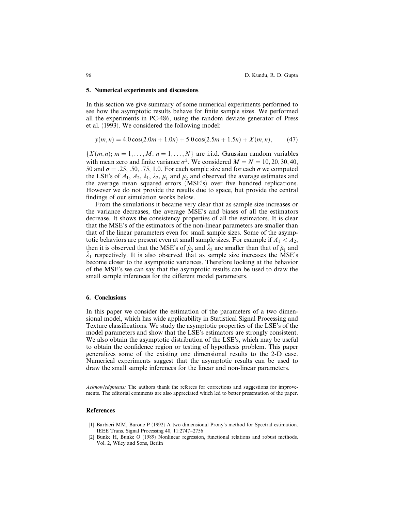#### 5. Numerical experiments and discussions

In this section we give summary of some numerical experiments performed to see how the asymptotic results behave for finite sample sizes. We performed all the experiments in PC-486, using the random deviate generator of Press et al. (1993). We considered the following model:

$$
y(m, n) = 4.0 \cos(2.0m + 1.0n) + 5.0 \cos(2.5m + 1.5n) + X(m, n), \tag{47}
$$

 $\{X(m, n); m = 1, \ldots, M, n = 1, \ldots, N\}$  are i.i.d. Gaussian random variables with mean zero and finite variance  $\sigma^2$ . We considered  $M = N = 10, 20, 30, 40$ , 50 and  $\sigma = .25, .50, .75, 1.0$ . For each sample size and for each  $\sigma$  we computed the LSE's of  $A_1$ ,  $A_2$ ,  $\lambda_1$ ,  $\lambda_2$ ,  $\mu_1$  and  $\mu_2$  and observed the average estimates and the average mean squared errors (MSE's) over five hundred replications. However we do not provide the results due to space, but provide the central findings of our simulation works below.

From the simulations it became very clear that as sample size increases or the variance decreases, the average MSE's and biases of all the estimators decrease. It shows the consistency properties of all the estimators. It is clear that the MSE's of the estimators of the non-linear parameters are smaller than that of the linear parameters even for small sample sizes. Some of the asymptotic behaviors are present even at small sample sizes. For example if  $A_1 < A_2$ , then it is observed that the MSE's of  $\hat{\mu}_2$  and  $\hat{\lambda}_2$  are smaller than that of  $\hat{\mu}_1$  and  $\hat{\lambda}_1$  respectively. It is also observed that as sample size increases the MSE's become closer to the asymptotic variances. Therefore looking at the behavior of the MSE's we can say that the asymptotic results can be used to draw the small sample inferences for the different model parameters.

### 6. Conclusions

In this paper we consider the estimation of the parameters of a two dimensional model, which has wide applicability in Statistical Signal Processing and Texture classifications. We study the asymptotic properties of the LSE's of the model parameters and show that the LSE's estimators are strongly consistent. We also obtain the asymptotic distribution of the LSE's, which may be useful to obtain the confidence region or testing of hypothesis problem. This paper generalizes some of the existing one dimensional results to the 2-D case. Numerical experiments suggest that the asymptotic results can be used to draw the small sample inferences for the linear and non-linear parameters.

Acknowledgments: The authors thank the referees for corrections and suggestions for improvements. The editorial comments are also appreciated which led to better presentation of the paper.

### References

- [1] Barbieri MM, Barone P (1992) A two dimensional Prony's method for Spectral estimation. IEEE Trans. Signal Processing 40, 11:2747-2756
- [2] Bunke H, Bunke O (1989) Nonlinear regression, functional relations and robust methods. Vol. 2, Wiley and Sons, Berlin